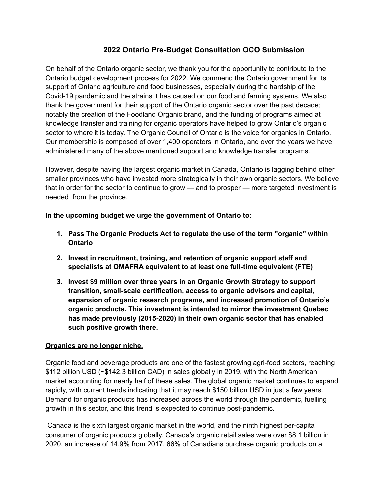# **2022 Ontario Pre-Budget Consultation OCO Submission**

On behalf of the Ontario organic sector, we thank you for the opportunity to contribute to the Ontario budget development process for 2022. We commend the Ontario government for its support of Ontario agriculture and food businesses, especially during the hardship of the Covid-19 pandemic and the strains it has caused on our food and farming systems. We also thank the government for their support of the Ontario organic sector over the past decade; notably the creation of the Foodland Organic brand, and the funding of programs aimed at knowledge transfer and training for organic operators have helped to grow Ontario's organic sector to where it is today. The Organic Council of Ontario is the voice for organics in Ontario. Our membership is composed of over 1,400 operators in Ontario, and over the years we have administered many of the above mentioned support and knowledge transfer programs.

However, despite having the largest organic market in Canada, Ontario is lagging behind other smaller provinces who have invested more strategically in their own organic sectors. We believe that in order for the sector to continue to grow — and to prosper — more targeted investment is needed from the province.

**In the upcoming budget we urge the government of Ontario to:**

- **1. Pass The Organic Products Act to regulate the use of the term "organic" within Ontario**
- **2. Invest in recruitment, training, and retention of organic support staff and specialists at OMAFRA equivalent to at least one full-time equivalent (FTE)**
- **3. Invest \$9 million over three years in an Organic Growth Strategy to support transition, small-scale certification, access to organic advisors and capital, expansion of organic research programs, and increased promotion of Ontario's organic products. This investment is intended to mirror the investment Quebec has made previously (2015-2020) in their own organic sector that has enabled such positive growth there.**

## **Organics are no longer niche.**

Organic food and beverage products are one of the fastest growing agri-food sectors, reaching \$112 billion USD (~\$142.3 billion CAD) in sales globally in 2019, with the North American market accounting for nearly half of these sales. The global organic market continues to expand rapidly, with current trends indicating that it may reach \$150 billion USD in just a few years. Demand for organic products has increased across the world through the pandemic, fuelling growth in this sector, and this trend is expected to continue post-pandemic.

Canada is the sixth largest organic market in the world, and the ninth highest per-capita consumer of organic products globally. Canada's organic retail sales were over \$8.1 billion in 2020, an increase of 14.9% from 2017. 66% of Canadians purchase organic products on a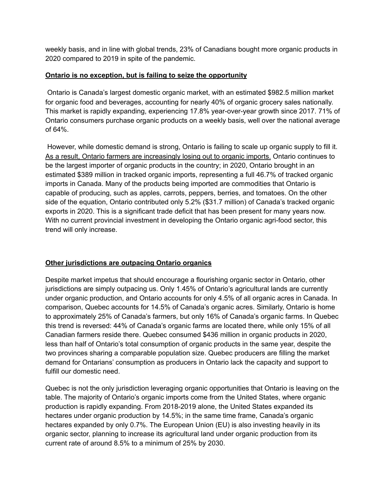weekly basis, and in line with global trends, 23% of Canadians bought more organic products in 2020 compared to 2019 in spite of the pandemic.

#### **Ontario is no exception, but is failing to seize the opportunity**

Ontario is Canada's largest domestic organic market, with an estimated \$982.5 million market for organic food and beverages, accounting for nearly 40% of organic grocery sales nationally. This market is rapidly expanding, experiencing 17.8% year-over-year growth since 2017. 71% of Ontario consumers purchase organic products on a weekly basis, well over the national average of 64%.

However, while domestic demand is strong, Ontario is failing to scale up organic supply to fill it. As a result, Ontario farmers are increasingly losing out to organic imports. Ontario continues to be the largest importer of organic products in the country; in 2020, Ontario brought in an estimated \$389 million in tracked organic imports, representing a full 46.7% of tracked organic imports in Canada. Many of the products being imported are commodities that Ontario is capable of producing, such as apples, carrots, peppers, berries, and tomatoes. On the other side of the equation, Ontario contributed only 5.2% (\$31.7 million) of Canada's tracked organic exports in 2020. This is a significant trade deficit that has been present for many years now. With no current provincial investment in developing the Ontario organic agri-food sector, this trend will only increase.

## **Other jurisdictions are outpacing Ontario organics**

Despite market impetus that should encourage a flourishing organic sector in Ontario, other jurisdictions are simply outpacing us. Only 1.45% of Ontario's agricultural lands are currently under organic production, and Ontario accounts for only 4.5% of all organic acres in Canada. In comparison, Quebec accounts for 14.5% of Canada's organic acres. Similarly, Ontario is home to approximately 25% of Canada's farmers, but only 16% of Canada's organic farms. In Quebec this trend is reversed: 44% of Canada's organic farms are located there, while only 15% of all Canadian farmers reside there. Quebec consumed \$436 million in organic products in 2020, less than half of Ontario's total consumption of organic products in the same year, despite the two provinces sharing a comparable population size. Quebec producers are filling the market demand for Ontarians' consumption as producers in Ontario lack the capacity and support to fulfill our domestic need.

Quebec is not the only jurisdiction leveraging organic opportunities that Ontario is leaving on the table. The majority of Ontario's organic imports come from the United States, where organic production is rapidly expanding. From 2018-2019 alone, the United States expanded its hectares under organic production by 14.5%; in the same time frame, Canada's organic hectares expanded by only 0.7%. The European Union (EU) is also investing heavily in its organic sector, planning to increase its agricultural land under organic production from its current rate of around 8.5% to a minimum of 25% by 2030.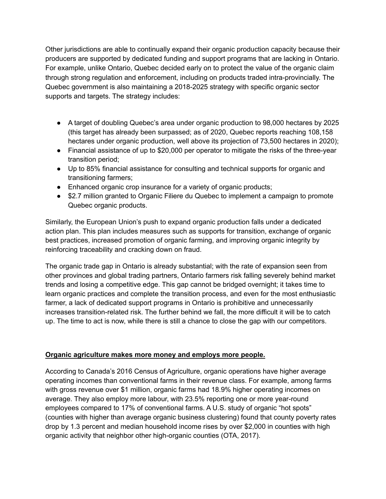Other jurisdictions are able to continually expand their organic production capacity because their producers are supported by dedicated funding and support programs that are lacking in Ontario. For example, unlike Ontario, Quebec decided early on to protect the value of the organic claim through strong regulation and enforcement, including on products traded intra-provincially. The Quebec government is also maintaining a 2018-2025 strategy with specific organic sector supports and targets. The strategy includes:

- A target of doubling Quebec's area under organic production to 98,000 hectares by 2025 (this target has already been surpassed; as of 2020, Quebec reports reaching 108,158 hectares under organic production, well above its projection of 73,500 hectares in 2020);
- Financial assistance of up to \$20,000 per operator to mitigate the risks of the three-year transition period;
- Up to 85% financial assistance for consulting and technical supports for organic and transitioning farmers;
- Enhanced organic crop insurance for a variety of organic products;
- \$2.7 million granted to Organic Filiere du Quebec to implement a campaign to promote Quebec organic products.

Similarly, the European Union's push to expand organic production falls under a dedicated action plan. This plan includes measures such as supports for transition, exchange of organic best practices, increased promotion of organic farming, and improving organic integrity by reinforcing traceability and cracking down on fraud.

The organic trade gap in Ontario is already substantial; with the rate of expansion seen from other provinces and global trading partners, Ontario farmers risk falling severely behind market trends and losing a competitive edge. This gap cannot be bridged overnight; it takes time to learn organic practices and complete the transition process, and even for the most enthusiastic farmer, a lack of dedicated support programs in Ontario is prohibitive and unnecessarily increases transition-related risk. The further behind we fall, the more difficult it will be to catch up. The time to act is now, while there is still a chance to close the gap with our competitors.

## **Organic agriculture makes more money and employs more people.**

According to Canada's 2016 Census of Agriculture, organic operations have higher average operating incomes than conventional farms in their revenue class. For example, among farms with gross revenue over \$1 million, organic farms had 18.9% higher operating incomes on average. They also employ more labour, with 23.5% reporting one or more year-round employees compared to 17% of conventional farms. A U.S. study of organic "hot spots" (counties with higher than average organic business clustering) found that county poverty rates drop by 1.3 percent and median household income rises by over \$2,000 in counties with high organic activity that neighbor other high-organic counties (OTA, 2017).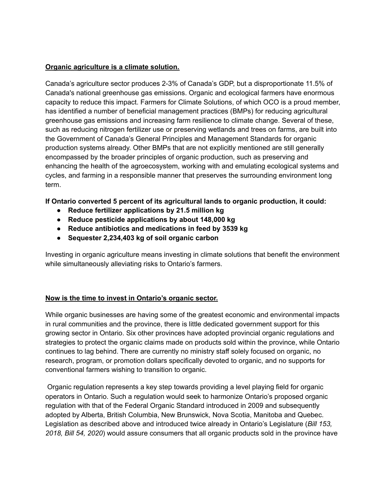#### **Organic agriculture is a climate solution.**

Canada's agriculture sector produces 2-3% of Canada's GDP, but a disproportionate 11.5% of Canada's national greenhouse gas emissions. Organic and ecological farmers have enormous capacity to reduce this impact. Farmers for Climate Solutions, of which OCO is a proud member, has identified a number of beneficial management practices (BMPs) for reducing agricultural greenhouse gas emissions and increasing farm resilience to climate change. Several of these, such as reducing nitrogen fertilizer use or preserving wetlands and trees on farms, are built into the Government of Canada's General Principles and Management Standards for organic production systems already. Other BMPs that are not explicitly mentioned are still generally encompassed by the broader principles of organic production, such as preserving and enhancing the health of the agroecosystem, working with and emulating ecological systems and cycles, and farming in a responsible manner that preserves the surrounding environment long term.

**If Ontario converted 5 percent of its agricultural lands to organic production, it could:**

- **● Reduce fertilizer applications by 21.5 million kg**
- **● Reduce pesticide applications by about 148,000 kg**
- **● Reduce antibiotics and medications in feed by 3539 kg**
- **● Sequester 2,234,403 kg of soil organic carbon**

Investing in organic agriculture means investing in climate solutions that benefit the environment while simultaneously alleviating risks to Ontario's farmers.

## **Now is the time to invest in Ontario's organic sector.**

While organic businesses are having some of the greatest economic and environmental impacts in rural communities and the province, there is little dedicated government support for this growing sector in Ontario. Six other provinces have adopted provincial organic regulations and strategies to protect the organic claims made on products sold within the province, while Ontario continues to lag behind. There are currently no ministry staff solely focused on organic, no research, program, or promotion dollars specifically devoted to organic, and no supports for conventional farmers wishing to transition to organic.

Organic regulation represents a key step towards providing a level playing field for organic operators in Ontario. Such a regulation would seek to harmonize Ontario's proposed organic regulation with that of the Federal Organic Standard introduced in 2009 and subsequently adopted by Alberta, British Columbia, New Brunswick, Nova Scotia, Manitoba and Quebec. Legislation as described above and introduced twice already in Ontario's Legislature (*Bill 153, 2018, Bill 54, 2020*) would assure consumers that all organic products sold in the province have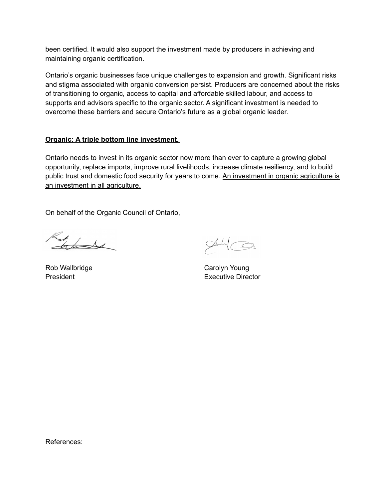been certified. It would also support the investment made by producers in achieving and maintaining organic certification.

Ontario's organic businesses face unique challenges to expansion and growth. Significant risks and stigma associated with organic conversion persist. Producers are concerned about the risks of transitioning to organic, access to capital and affordable skilled labour, and access to supports and advisors specific to the organic sector. A significant investment is needed to overcome these barriers and secure Ontario's future as a global organic leader.

#### **Organic: A triple bottom line investment.**

Ontario needs to invest in its organic sector now more than ever to capture a growing global opportunity, replace imports, improve rural livelihoods, increase climate resiliency, and to build public trust and domestic food security for years to come. An investment in organic agriculture is an investment in all agriculture.

On behalf of the Organic Council of Ontario,

Lat

Rob Wallbridge **Carolyn Young** 

 $94 \text{G}$ 

President **Executive Director** 

References: